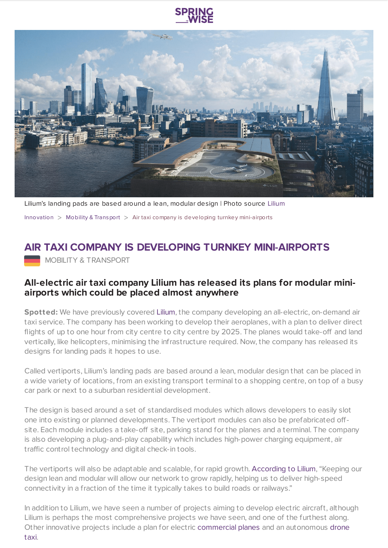

Lilium's landing pads are based around a lean, modular design | Photo source [Lilium](https://lilium.com/)

[Innovation](https://www.springwise.com/search?type=innovation)  $>$  Mobility & [Transport](https://www.springwise.com/search?type=innovation§or=mobility-and-transport)  $>$  Air taxi company is developing turnkey mini-airports

## **AIR TAXI COMPANY IS DEVELOPING TURNKEY MINI-AIRPORTS**

**MOBILITY & TRANSPORT** 

## **All-electric air taxi company Lilium has released its plans for modular miniairports which could be placed almost anywhere**

Spotted: We have previously covered [Lilium,](https://www.springwise.com/startup-wants-make-air-taxis-affordable-commuters/) the company developing an all-electric, on-demand air taxi service. The company has been working to develop their aeroplanes, with a plan to deliver direct flights of up to one hour from city centre to city centre by 2025. The planes would take-off and land vertically, like helicopters, minimising the infrastructure required. Now, the company has released its designs for landing pads it hopes to use.

Called vertiports, Lilium's landing pads are based around a lean, modular design that can be placed in a wide variety of locations, from an existing transport terminal to a shopping centre, on top of a busy car park or next to a suburban residential development.

The design is based around a set of standardised modules which allows developers to easily slot one into existing or planned developments. The vertiport modules can also be prefabricated offsite. Each module includes a take-off site, parking stand for the planes and a terminal. The company is also developing a plug-and-play capability which includes high-power charging equipment, air traffic control technology and digital check-in tools.

The vertiports will also be adaptable and scalable, for rapid growth. [According](https://www.dezeen.com/2020/07/14/flying-taxi-lilium-urban-vertiports-drones/) to Lilium, "Keeping our design lean and modular will allow our network to grow rapidly, helping us to deliver high-speed connectivity in a fraction of the time it typically takes to build roads or railways."

In addition to Lilium, we have seen a number of projects aiming to develop electric aircraft, although Lilium is perhaps the most comprehensive projects we have seen, and one of the furthest along. Other innovative projects include a plan for electric [commercial](https://www.springwise.com/easyjet-launch-electric-plane-within-10-years/) planes and an [autonomous](https://www.springwise.com/new-zealand-company-trials-autonomous-drone-taxi/) drone taxi.